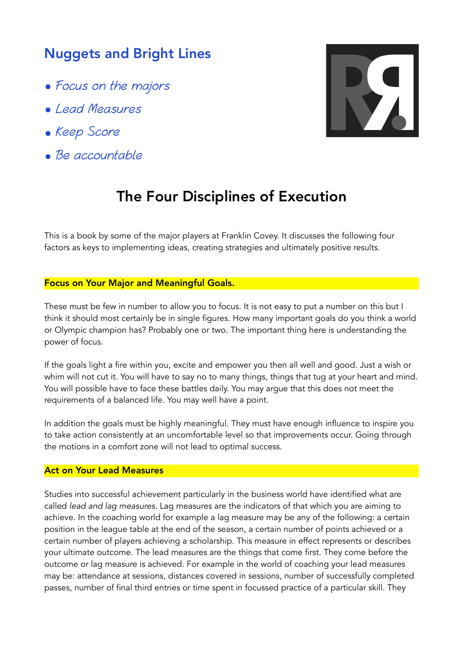## Nuggets and Bright Lines

- Focus on the majors
- Lead Measures
- Keep Score
- Be accountable



# The Four Disciplines of Execution

This is a book by some of the major players at Franklin Covey. It discusses the following four factors as keys to implementing ideas, creating strategies and ultimately positive results.

### Focus on Your Major and Meaningful Goals.

These must be few in number to allow you to focus. It is not easy to put a number on this but I think it should most certainly be in single figures. How many important goals do you think a world or Olympic champion has? Probably one or two. The important thing here is understanding the power of focus.

If the goals light a fire within you, excite and empower you then all well and good. Just a wish or whim will not cut it. You will have to say no to many things, things that tug at your heart and mind. You will possible have to face these battles daily. You may argue that this does not meet the requirements of a balanced life. You may well have a point.

In addition the goals must be highly meaningful. They must have enough influence to inspire you to take action consistently at an uncomfortable level so that improvements occur. Going through the motions in a comfort zone will not lead to optimal success.

#### Act on Your Lead Measures

Studies into successful achievement particularly in the business world have identified what are called *lead and lag measures.* Lag measures are the indicators of that which you are aiming to achieve. In the coaching world for example a lag measure may be any of the following: a certain position in the league table at the end of the season, a certain number of points achieved or a certain number of players achieving a scholarship. This measure in effect represents or describes your ultimate outcome. The lead measures are the things that come first. They come before the outcome or lag measure is achieved. For example in the world of coaching your lead measures may be: attendance at sessions, distances covered in sessions, number of successfully completed passes, number of final third entries or time spent in focussed practice of a particular skill. They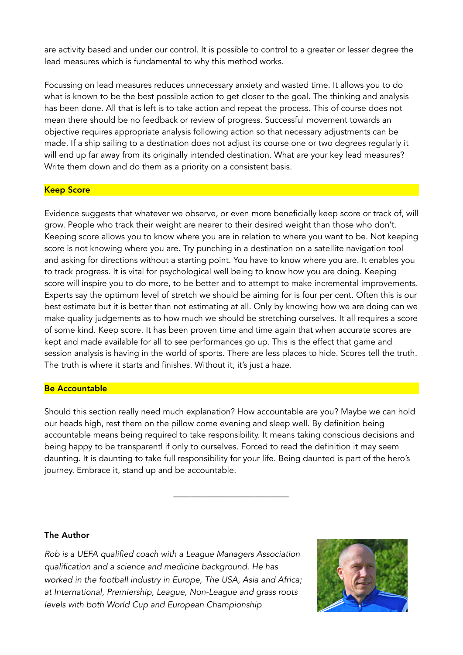are activity based and under our control. It is possible to control to a greater or lesser degree the lead measures which is fundamental to why this method works.

Focussing on lead measures reduces unnecessary anxiety and wasted time. It allows you to do what is known to be the best possible action to get closer to the goal. The thinking and analysis has been done. All that is left is to take action and repeat the process. This of course does not mean there should be no feedback or review of progress. Successful movement towards an objective requires appropriate analysis following action so that necessary adjustments can be made. If a ship sailing to a destination does not adjust its course one or two degrees regularly it will end up far away from its originally intended destination. What are your key lead measures? Write them down and do them as a priority on a consistent basis.

### Keep Score

Evidence suggests that whatever we observe, or even more beneficially keep score or track of, will grow. People who track their weight are nearer to their desired weight than those who don't. Keeping score allows you to know where you are in relation to where you want to be. Not keeping score is not knowing where you are. Try punching in a destination on a satellite navigation tool and asking for directions without a starting point. You have to know where you are. It enables you to track progress. It is vital for psychological well being to know how you are doing. Keeping score will inspire you to do more, to be better and to attempt to make incremental improvements. Experts say the optimum level of stretch we should be aiming for is four per cent. Often this is our best estimate but it is better than not estimating at all. Only by knowing how we are doing can we make quality judgements as to how much we should be stretching ourselves. It all requires a score of some kind. Keep score. It has been proven time and time again that when accurate scores are kept and made available for all to see performances go up. This is the effect that game and session analysis is having in the world of sports. There are less places to hide. Scores tell the truth. The truth is where it starts and finishes. Without it, it's just a haze.

### Be Accountable

Should this section really need much explanation? How accountable are you? Maybe we can hold our heads high, rest them on the pillow come evening and sleep well. By definition being accountable means being required to take responsibility. It means taking conscious decisions and being happy to be transparentl if only to ourselves. Forced to read the definition it may seem daunting. It is daunting to take full responsibility for your life. Being daunted is part of the hero's journey. Embrace it, stand up and be accountable.

\_\_\_\_\_\_\_\_\_\_\_\_\_\_\_\_\_\_\_\_\_\_\_\_\_\_\_

#### The Author

*Rob is a UEFA qualified coach with a League Managers Association qualification and a science and medicine background. He has worked in the football industry in Europe, The USA, Asia and Africa; at International, Premiership, League, Non-League and grass roots levels with both World Cup and European Championship*